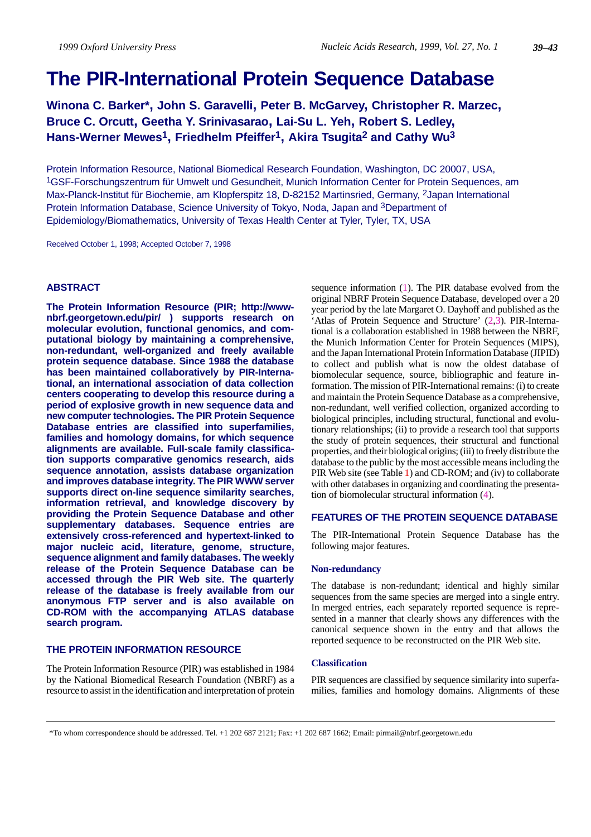# **The PIR-International Protein Sequence Database**

**Winona C. Barker\*, John S. Garavelli, Peter B. McGarvey, Christopher R. Marzec, Bruce C. Orcutt, Geetha Y. Srinivasarao, Lai-Su L. Yeh, Robert S. Ledley, Hans-Werner Mewes1, Friedhelm Pfeiffer1, Akira Tsugita2 and Cathy Wu3**

Protein Information Resource, National Biomedical Research Foundation, Washington, DC 20007, USA, 1GSF-Forschungszentrum für Umwelt und Gesundheit, Munich Information Center for Protein Sequences, am Max-Planck-Institut für Biochemie, am Klopferspitz 18, D-82152 Martinsried, Germany, <sup>2</sup>Japan International Protein Information Database, Science University of Tokyo, Noda, Japan and <sup>3</sup>Department of Epidemiology/Biomathematics, University of Texas Health Center at Tyler, Tyler, TX, USA

Received October 1, 1998; Accepted October 7, 1998

## **ABSTRACT**

**The Protein Information Resource (PIR; http://wwwnbrf.georgetown.edu/pir/ ) supports research on molecular evolution, functional genomics, and computational biology by maintaining a comprehensive, non-redundant, well-organized and freely available protein sequence database. Since 1988 the database has been maintained collaboratively by PIR-International, an international association of data collection centers cooperating to develop this resource during a period of explosive growth in new sequence data and new computer technologies. The PIR Protein Sequence Database entries are classified into superfamilies, families and homology domains, for which sequence alignments are available. Full-scale family classification supports comparative genomics research, aids sequence annotation, assists database organization and improves database integrity. The PIR WWW server supports direct on-line sequence similarity searches, information retrieval, and knowledge discovery by providing the Protein Sequence Database and other supplementary databases. Sequence entries are extensively cross-referenced and hypertext-linked to major nucleic acid, literature, genome, structure, sequence alignment and family databases. The weekly release of the Protein Sequence Database can be accessed through the PIR Web site. The quarterly release of the database is freely available from our anonymous FTP server and is also available on CD-ROM with the accompanying ATLAS database search program.**

# **THE PROTEIN INFORMATION RESOURCE**

The Protein Information Resource (PIR) was established in 1984 by the National Biomedical Research Foundation (NBRF) as a resource to assist in the identification and interpretation of protein sequence information (1). The PIR database evolved from the original NBRF Protein Sequence Database, developed over a 20 year period by the late Margaret O. Dayhoff and published as the 'Atlas of Protein Sequence and Structure' (2,3). PIR-International is a collaboration established in 1988 between the NBRF, the Munich Information Center for Protein Sequences (MIPS), and the Japan International Protein Information Database (JIPID) to collect and publish what is now the oldest database of biomolecular sequence, source, bibliographic and feature information. The mission of PIR-International remains: (i) to create and maintain the Protein Sequence Database as a comprehensive, non-redundant, well verified collection, organized according to biological principles, including structural, functional and evolutionary relationships; (ii) to provide a research tool that supports the study of protein sequences, their structural and functional properties, and their biological origins; (iii) to freely distribute the database to the public by the most accessible means including the PIR Web site (see Table 1) and CD-ROM; and (iv) to collaborate with other databases in organizing and coordinating the presentation of biomolecular structural information (4).

# **FEATURES OF THE PROTEIN SEQUENCE DATABASE**

The PIR-International Protein Sequence Database has the following major features.

#### **Non-redundancy**

The database is non-redundant; identical and highly similar sequences from the same species are merged into a single entry. In merged entries, each separately reported sequence is represented in a manner that clearly shows any differences with the canonical sequence shown in the entry and that allows the reported sequence to be reconstructed on the PIR Web site.

#### **Classification**

PIR sequences are classified by sequence similarity into superfamilies, families and homology domains. Alignments of these

\*To whom correspondence should be addressed. Tel. +1 202 687 2121; Fax: +1 202 687 1662; Email: pirmail@nbrf.georgetown.edu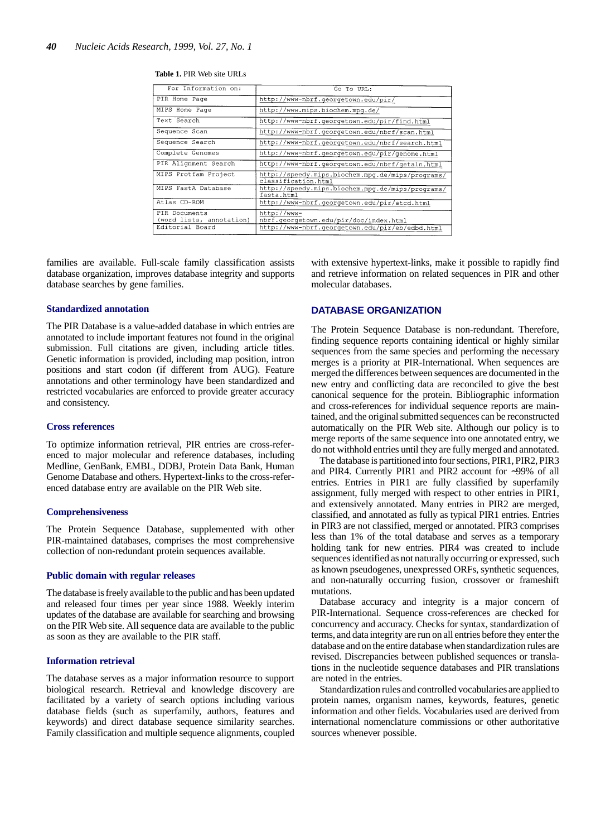#### **Table 1.** PIR Web site URLs

| For Information on:                       | Go To URL:                                                              |  |  |
|-------------------------------------------|-------------------------------------------------------------------------|--|--|
| PIR Home Page                             | http://www-nbrf.georgetown.edu/pir/                                     |  |  |
| MIPS Home Page                            | http://www.mips.biochem.mpg.de/                                         |  |  |
| Text Search                               | http://www-nbrf.georgetown.edu/pir/find.html                            |  |  |
| Sequence Scan                             | http://www-nbrf.georgetown.edu/nbrf/scan.html                           |  |  |
| Sequence Search                           | http://www-nbrf.georgetown.edu/nbrf/search.html                         |  |  |
| Complete Genomes                          | http://www-nbrf.georgetown.edu/pir/genome.html                          |  |  |
| PIR Alignment Search                      | http://www-nbrf.georgetown.edu/nbrf/getaln.html                         |  |  |
| MIPS Protfam Project                      | http://speedy.mips.biochem.mpg.de/mips/programs/<br>classification.html |  |  |
| MIPS FastA Database                       | http://speedy.mips.biochem.mpg.de/mips/programs/<br>fasta.html          |  |  |
| Atlas CD-ROM                              | http://www-nbrf.georgetown.edu/pir/atcd.html                            |  |  |
| PIR Documents<br>(word lists, annotation) | http://www-<br>nbrf.georgetown.edu/pir/doc/index.html                   |  |  |
| Editorial Board                           | http://www-nbrf.georgetown.edu/pir/eb/edbd.html                         |  |  |

families are available. Full-scale family classification assists database organization, improves database integrity and supports database searches by gene families.

#### **Standardized annotation**

The PIR Database is a value-added database in which entries are annotated to include important features not found in the original submission. Full citations are given, including article titles. Genetic information is provided, including map position, intron positions and start codon (if different from AUG). Feature annotations and other terminology have been standardized and restricted vocabularies are enforced to provide greater accuracy and consistency.

#### **Cross references**

To optimize information retrieval, PIR entries are cross-referenced to major molecular and reference databases, including Medline, GenBank, EMBL, DDBJ, Protein Data Bank, Human Genome Database and others. Hypertext-links to the cross-referenced database entry are available on the PIR Web site.

#### **Comprehensiveness**

The Protein Sequence Database, supplemented with other PIR-maintained databases, comprises the most comprehensive collection of non-redundant protein sequences available.

#### **Public domain with regular releases**

The database is freely available to the public and has been updated and released four times per year since 1988. Weekly interim updates of the database are available for searching and browsing on the PIR Web site. All sequence data are available to the public as soon as they are available to the PIR staff.

#### **Information retrieval**

The database serves as a major information resource to support biological research. Retrieval and knowledge discovery are facilitated by a variety of search options including various database fields (such as superfamily, authors, features and keywords) and direct database sequence similarity searches. Family classification and multiple sequence alignments, coupled with extensive hypertext-links, make it possible to rapidly find and retrieve information on related sequences in PIR and other molecular databases.

# **DATABASE ORGANIZATION**

The Protein Sequence Database is non-redundant. Therefore, finding sequence reports containing identical or highly similar sequences from the same species and performing the necessary merges is a priority at PIR-International. When sequences are merged the differences between sequences are documented in the new entry and conflicting data are reconciled to give the best canonical sequence for the protein. Bibliographic information and cross-references for individual sequence reports are maintained, and the original submitted sequences can be reconstructed automatically on the PIR Web site. Although our policy is to merge reports of the same sequence into one annotated entry, we do not withhold entries until they are fully merged and annotated.

The database is partitioned into four sections, PIR1, PIR2, PIR3 and PIR4. Currently PIR1 and PIR2 account for ∼99% of all entries. Entries in PIR1 are fully classified by superfamily assignment, fully merged with respect to other entries in PIR1, and extensively annotated. Many entries in PIR2 are merged, classified, and annotated as fully as typical PIR1 entries. Entries in PIR3 are not classified, merged or annotated. PIR3 comprises less than 1% of the total database and serves as a temporary holding tank for new entries. PIR4 was created to include sequences identified as not naturally occurring or expressed, such as known pseudogenes, unexpressed ORFs, synthetic sequences, and non-naturally occurring fusion, crossover or frameshift mutations.

Database accuracy and integrity is a major concern of PIR-International. Sequence cross-references are checked for concurrency and accuracy. Checks for syntax, standardization of terms, and data integrity are run on all entries before they enter the database and on the entire database when standardization rules are revised. Discrepancies between published sequences or translations in the nucleotide sequence databases and PIR translations are noted in the entries.

Standardization rules and controlled vocabularies are applied to protein names, organism names, keywords, features, genetic information and other fields. Vocabularies used are derived from international nomenclature commissions or other authoritative sources whenever possible.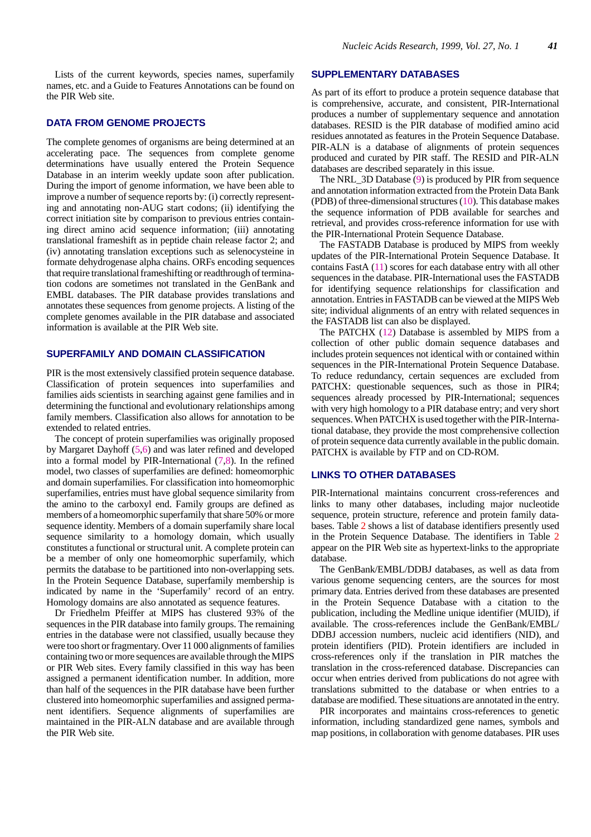Lists of the current keywords, species names, superfamily names, etc. and a Guide to Features Annotations can be found on the PIR Web site.

#### **DATA FROM GENOME PROJECTS**

The complete genomes of organisms are being determined at an accelerating pace. The sequences from complete genome determinations have usually entered the Protein Sequence Database in an interim weekly update soon after publication. During the import of genome information, we have been able to improve a number of sequence reports by: (i) correctly representing and annotating non-AUG start codons; (ii) identifying the correct initiation site by comparison to previous entries containing direct amino acid sequence information; (iii) annotating translational frameshift as in peptide chain release factor 2; and (iv) annotating translation exceptions such as selenocysteine in formate dehydrogenase alpha chains. ORFs encoding sequences that require translational frameshifting or readthrough of termination codons are sometimes not translated in the GenBank and EMBL databases. The PIR database provides translations and annotates these sequences from genome projects. A listing of the complete genomes available in the PIR database and associated information is available at the PIR Web site.

### **SUPERFAMILY AND DOMAIN CLASSIFICATION**

PIR is the most extensively classified protein sequence database. Classification of protein sequences into superfamilies and families aids scientists in searching against gene families and in determining the functional and evolutionary relationships among family members. Classification also allows for annotation to be extended to related entries.

The concept of protein superfamilies was originally proposed by Margaret Dayhoff (5,6) and was later refined and developed into a formal model by PIR-International (7,8). In the refined model, two classes of superfamilies are defined: homeomorphic and domain superfamilies. For classification into homeomorphic superfamilies, entries must have global sequence similarity from the amino to the carboxyl end. Family groups are defined as members of a homeomorphic superfamily that share 50% or more sequence identity. Members of a domain superfamily share local sequence similarity to a homology domain, which usually constitutes a functional or structural unit. A complete protein can be a member of only one homeomorphic superfamily, which permits the database to be partitioned into non-overlapping sets. In the Protein Sequence Database, superfamily membership is indicated by name in the 'Superfamily' record of an entry. Homology domains are also annotated as sequence features.

Dr Friedhelm Pfeiffer at MIPS has clustered 93% of the sequences in the PIR database into family groups. The remaining entries in the database were not classified, usually because they were too short or fragmentary. Over 11 000 alignments of families containing two or more sequences are available through the MIPS or PIR Web sites. Every family classified in this way has been assigned a permanent identification number. In addition, more than half of the sequences in the PIR database have been further clustered into homeomorphic superfamilies and assigned permanent identifiers. Sequence alignments of superfamilies are maintained in the PIR-ALN database and are available through the PIR Web site.

#### **SUPPLEMENTARY DATABASES**

As part of its effort to produce a protein sequence database that is comprehensive, accurate, and consistent, PIR-International produces a number of supplementary sequence and annotation databases. RESID is the PIR database of modified amino acid residues annotated as features in the Protein Sequence Database. PIR-ALN is a database of alignments of protein sequences produced and curated by PIR staff. The RESID and PIR-ALN databases are described separately in this issue.

The NRL  $3D$  Database  $(9)$  is produced by PIR from sequence and annotation information extracted from the Protein Data Bank (PDB) of three-dimensional structures (10). This database makes the sequence information of PDB available for searches and retrieval, and provides cross-reference information for use with the PIR-International Protein Sequence Database.

The FASTADB Database is produced by MIPS from weekly updates of the PIR-International Protein Sequence Database. It contains FastA (11) scores for each database entry with all other sequences in the database. PIR-International uses the FASTADB for identifying sequence relationships for classification and annotation. Entries in FASTADB can be viewed at the MIPS Web site; individual alignments of an entry with related sequences in the FASTADB list can also be displayed.

The PATCHX (12) Database is assembled by MIPS from a collection of other public domain sequence databases and includes protein sequences not identical with or contained within sequences in the PIR-International Protein Sequence Database. To reduce redundancy, certain sequences are excluded from PATCHX: questionable sequences, such as those in PIR4; sequences already processed by PIR-International; sequences with very high homology to a PIR database entry; and very short sequences. When PATCHX is used together with the PIR-International database, they provide the most comprehensive collection of protein sequence data currently available in the public domain. PATCHX is available by FTP and on CD-ROM.

## **LINKS TO OTHER DATABASES**

PIR-International maintains concurrent cross-references and links to many other databases, including major nucleotide sequence, protein structure, reference and protein family databases. Table 2 shows a list of database identifiers presently used in the Protein Sequence Database. The identifiers in Table 2 appear on the PIR Web site as hypertext-links to the appropriate database.

The GenBank/EMBL/DDBJ databases, as well as data from various genome sequencing centers, are the sources for most primary data. Entries derived from these databases are presented in the Protein Sequence Database with a citation to the publication, including the Medline unique identifier (MUID), if available. The cross-references include the GenBank/EMBL/ DDBJ accession numbers, nucleic acid identifiers (NID), and protein identifiers (PID). Protein identifiers are included in cross-references only if the translation in PIR matches the translation in the cross-referenced database. Discrepancies can occur when entries derived from publications do not agree with translations submitted to the database or when entries to a database are modified. These situations are annotated in the entry.

PIR incorporates and maintains cross-references to genetic information, including standardized gene names, symbols and map positions, in collaboration with genome databases. PIR uses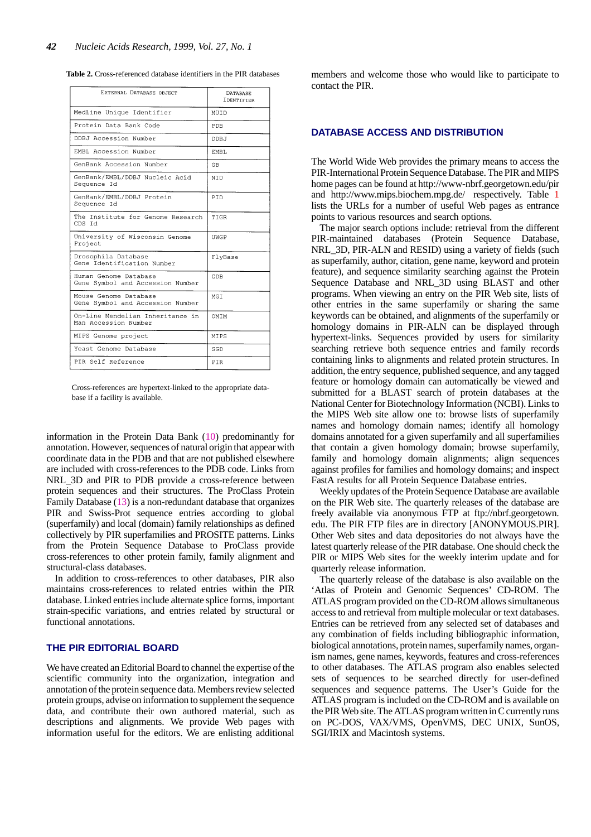| <b>Table 2.</b> Cross-referenced database identifiers in the PIR databases |  |  |
|----------------------------------------------------------------------------|--|--|
|----------------------------------------------------------------------------|--|--|

| EXTERNAL DATABASE OBJECT                                  | <b>DATABASE</b><br><b>IDENTIFIER</b> |
|-----------------------------------------------------------|--------------------------------------|
| MedLine Unique Identifier                                 | MUTD                                 |
| Protein Data Bank Code                                    | <b>PDR</b>                           |
| DDBJ Accession Number                                     | <b>DDBJ</b>                          |
| EMBL Accession Number                                     | EMBL.                                |
| GenBank Accession Number                                  | GB.                                  |
| GenBank/EMBL/DDBJ Nucleic Acid<br>Sequence Id             | NTD                                  |
| GenBank/EMBL/DDBJ Protein<br>Sequence Id                  | PTD.                                 |
| The Institute for Genome Research<br>CDS Id               | TIGR                                 |
| University of Wisconsin Genome<br>Project                 | UWGP                                 |
| Drosophila Database<br>Gene Identification Number         | FlyBase                              |
| Human Genome Database<br>Gene Symbol and Accession Number | <b>GDB</b>                           |
| Mouse Genome Database<br>Gene Symbol and Accession Number | MGT.                                 |
| On-Line Mendelian Inheritance in<br>Man Accession Number  | OMTM                                 |
| MIPS Genome project                                       | MIPS                                 |
| Yeast Genome Database                                     | SGD                                  |
| PIR Self Reference                                        | PIR                                  |

Cross-references are hypertext-linked to the appropriate database if a facility is available.

information in the Protein Data Bank (10) predominantly for annotation. However, sequences of natural origin that appear with coordinate data in the PDB and that are not published elsewhere are included with cross-references to the PDB code. Links from NRL\_3D and PIR to PDB provide a cross-reference between protein sequences and their structures. The ProClass Protein Family Database (13) is a non-redundant database that organizes PIR and Swiss-Prot sequence entries according to global (superfamily) and local (domain) family relationships as defined collectively by PIR superfamilies and PROSITE patterns. Links from the Protein Sequence Database to ProClass provide cross-references to other protein family, family alignment and structural-class databases.

In addition to cross-references to other databases, PIR also maintains cross-references to related entries within the PIR database. Linked entries include alternate splice forms, important strain-specific variations, and entries related by structural or functional annotations.

## **THE PIR EDITORIAL BOARD**

We have created an Editorial Board to channel the expertise of the scientific community into the organization, integration and annotation of the protein sequence data. Members review selected protein groups, advise on information to supplement the sequence data, and contribute their own authored material, such as descriptions and alignments. We provide Web pages with information useful for the editors. We are enlisting additional

members and welcome those who would like to participate to contact the PIR.

## **DATABASE ACCESS AND DISTRIBUTION**

The World Wide Web provides the primary means to access the PIR-International Protein Sequence Database. The PIR and MIPS home pages can be found at http://www-nbrf.georgetown.edu/pir and http://www.mips.biochem.mpg.de/ respectively. Table 1 lists the URLs for a number of useful Web pages as entrance points to various resources and search options.

The major search options include: retrieval from the different PIR-maintained databases (Protein Sequence Database, NRL 3D, PIR-ALN and RESID) using a variety of fields (such as superfamily, author, citation, gene name, keyword and protein feature), and sequence similarity searching against the Protein Sequence Database and NRL\_3D using BLAST and other programs. When viewing an entry on the PIR Web site, lists of other entries in the same superfamily or sharing the same keywords can be obtained, and alignments of the superfamily or homology domains in PIR-ALN can be displayed through hypertext-links. Sequences provided by users for similarity searching retrieve both sequence entries and family records containing links to alignments and related protein structures. In addition, the entry sequence, published sequence, and any tagged feature or homology domain can automatically be viewed and submitted for a BLAST search of protein databases at the National Center for Biotechnology Information (NCBI). Links to the MIPS Web site allow one to: browse lists of superfamily names and homology domain names; identify all homology domains annotated for a given superfamily and all superfamilies that contain a given homology domain; browse superfamily, family and homology domain alignments; align sequences against profiles for families and homology domains; and inspect FastA results for all Protein Sequence Database entries.

Weekly updates of the Protein Sequence Database are available on the PIR Web site. The quarterly releases of the database are freely available via anonymous FTP at ftp://nbrf.georgetown. edu. The PIR FTP files are in directory [ANONYMOUS.PIR]. Other Web sites and data depositories do not always have the latest quarterly release of the PIR database. One should check the PIR or MIPS Web sites for the weekly interim update and for quarterly release information.

The quarterly release of the database is also available on the 'Atlas of Protein and Genomic Sequences' CD-ROM. The ATLAS program provided on the CD-ROM allows simultaneous access to and retrieval from multiple molecular or text databases. Entries can be retrieved from any selected set of databases and any combination of fields including bibliographic information, biological annotations, protein names, superfamily names, organism names, gene names, keywords, features and cross-references to other databases. The ATLAS program also enables selected sets of sequences to be searched directly for user-defined sequences and sequence patterns. The User's Guide for the ATLAS program is included on the CD-ROM and is available on the PIR Web site. The ATLAS program written in C currently runs on PC-DOS, VAX/VMS, OpenVMS, DEC UNIX, SunOS, SGI/IRIX and Macintosh systems.